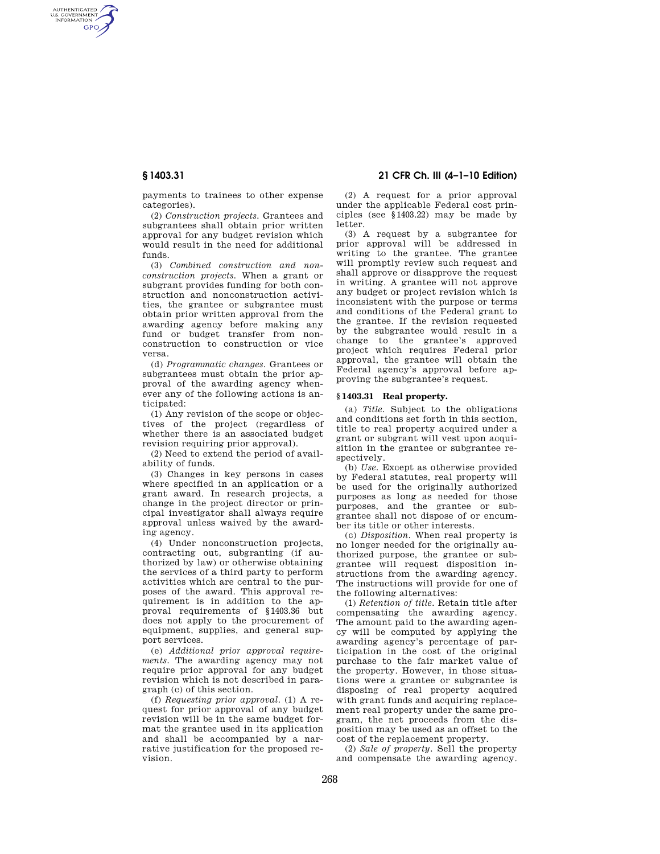AUTHENTICATED<br>U.S. GOVERNMENT<br>INFORMATION **GPO** 

> payments to trainees to other expense categories).

> (2) *Construction projects.* Grantees and subgrantees shall obtain prior written approval for any budget revision which would result in the need for additional funds.

> (3) *Combined construction and nonconstruction projects.* When a grant or subgrant provides funding for both construction and nonconstruction activities, the grantee or subgrantee must obtain prior written approval from the awarding agency before making any fund or budget transfer from nonconstruction to construction or vice versa.

> (d) *Programmatic changes.* Grantees or subgrantees must obtain the prior approval of the awarding agency whenever any of the following actions is anticipated:

> (1) Any revision of the scope or objectives of the project (regardless of whether there is an associated budget revision requiring prior approval).

> (2) Need to extend the period of availability of funds.

(3) Changes in key persons in cases where specified in an application or a grant award. In research projects, a change in the project director or principal investigator shall always require approval unless waived by the awarding agency.

(4) Under nonconstruction projects, contracting out, subgranting (if authorized by law) or otherwise obtaining the services of a third party to perform activities which are central to the purposes of the award. This approval requirement is in addition to the approval requirements of §1403.36 but does not apply to the procurement of equipment, supplies, and general support services.

(e) *Additional prior approval requirements.* The awarding agency may not require prior approval for any budget revision which is not described in paragraph (c) of this section.

(f) *Requesting prior approval.* (1) A request for prior approval of any budget revision will be in the same budget format the grantee used in its application and shall be accompanied by a narrative justification for the proposed revision.

# **§ 1403.31 21 CFR Ch. III (4–1–10 Edition)**

(2) A request for a prior approval under the applicable Federal cost principles (see §1403.22) may be made by letter.

(3) A request by a subgrantee for prior approval will be addressed in writing to the grantee. The grantee will promptly review such request and shall approve or disapprove the request in writing. A grantee will not approve any budget or project revision which is inconsistent with the purpose or terms and conditions of the Federal grant to the grantee. If the revision requested by the subgrantee would result in a change to the grantee's approved project which requires Federal prior approval, the grantee will obtain the Federal agency's approval before approving the subgrantee's request.

### **§ 1403.31 Real property.**

(a) *Title.* Subject to the obligations and conditions set forth in this section, title to real property acquired under a grant or subgrant will vest upon acquisition in the grantee or subgrantee respectively.

(b) *Use.* Except as otherwise provided by Federal statutes, real property will be used for the originally authorized purposes as long as needed for those purposes, and the grantee or subgrantee shall not dispose of or encumber its title or other interests.

(c) *Disposition.* When real property is no longer needed for the originally authorized purpose, the grantee or subgrantee will request disposition instructions from the awarding agency. The instructions will provide for one of the following alternatives:

(1) *Retention of title.* Retain title after compensating the awarding agency. The amount paid to the awarding agency will be computed by applying the awarding agency's percentage of participation in the cost of the original purchase to the fair market value of the property. However, in those situations were a grantee or subgrantee is disposing of real property acquired with grant funds and acquiring replacement real property under the same program, the net proceeds from the disposition may be used as an offset to the cost of the replacement property.

(2) *Sale of property.* Sell the property and compensate the awarding agency.